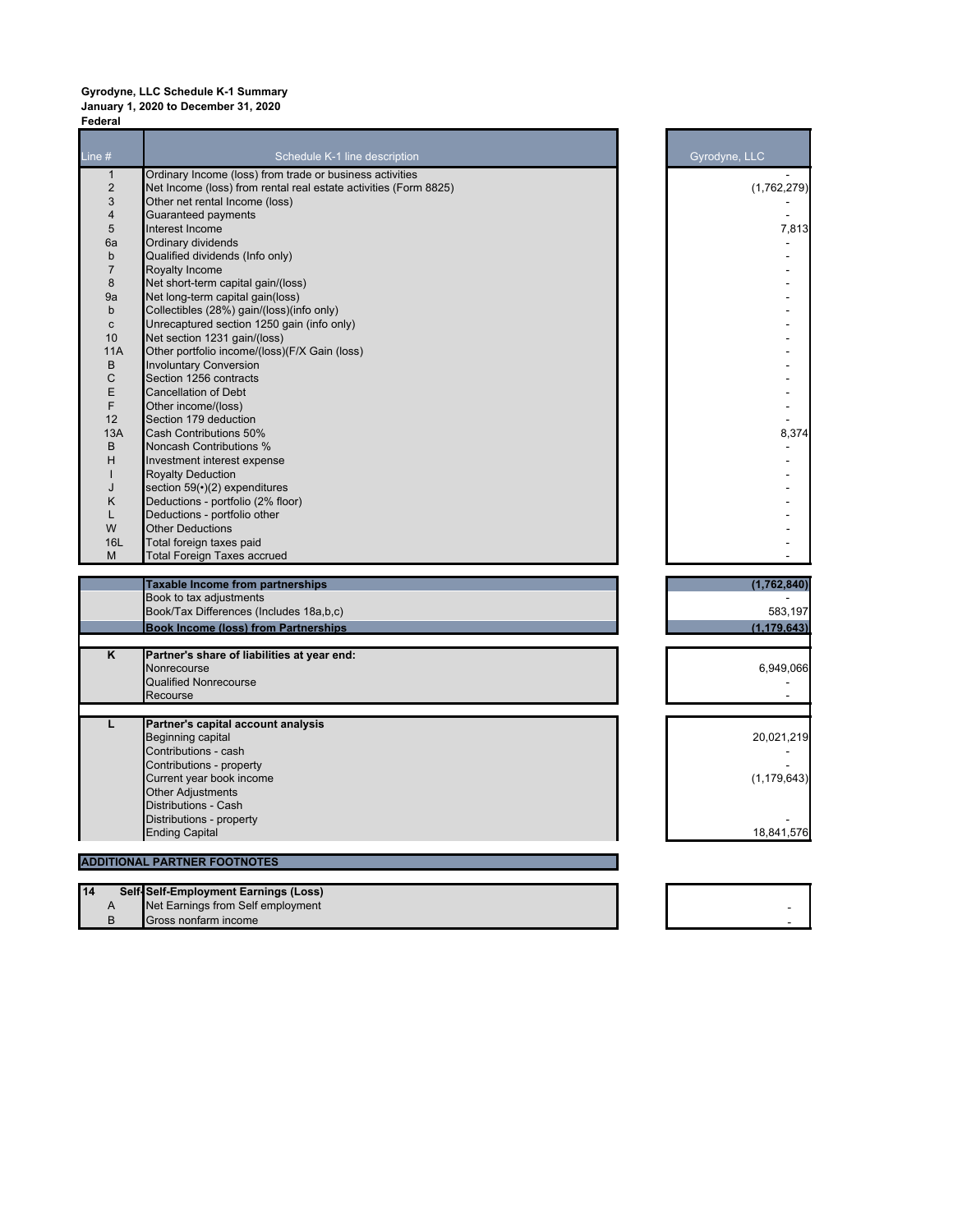## **Gyrodyne, LLC Schedule K-1 Summary January 1, 2020 to December 31, 2020 Federal**

| Line $#$       | Schedule K-1 line description                                    | Gyrodyne, LLC |
|----------------|------------------------------------------------------------------|---------------|
| $\mathbf{1}$   | Ordinary Income (loss) from trade or business activities         |               |
| $\overline{c}$ | Net Income (loss) from rental real estate activities (Form 8825) | (1,762,279)   |
| 3              | Other net rental Income (loss)                                   |               |
| 4              | <b>Guaranteed payments</b>                                       |               |
| 5              | Interest Income                                                  | 7,813         |
| 6a             | Ordinary dividends                                               |               |
| $\mathbf b$    | Qualified dividends (Info only)                                  |               |
| 7              | Royalty Income                                                   |               |
| 8              | Net short-term capital gain/(loss)                               |               |
| 9a             | Net long-term capital gain(loss)                                 |               |
| b              | Collectibles (28%) gain/(loss)(info only)                        |               |
| $\mathbf c$    | Unrecaptured section 1250 gain (info only)                       |               |
| 10             | Net section 1231 gain/(loss)                                     |               |
| 11A            | Other portfolio income/(loss)(F/X Gain (loss)                    |               |
| B              | <b>Involuntary Conversion</b>                                    |               |
| C              | Section 1256 contracts                                           |               |
| E              | <b>Cancellation of Debt</b>                                      |               |
| F              | Other income/(loss)                                              |               |
| 12             | Section 179 deduction                                            |               |
| 13A            | <b>Cash Contributions 50%</b>                                    | 8,374         |
| B              | <b>Noncash Contributions %</b>                                   |               |
| н              | Investment interest expense                                      |               |
| п              | <b>Royalty Deduction</b>                                         |               |
| J              |                                                                  |               |
|                | section 59( $\cdot$ )(2) expenditures                            |               |
| Κ              | Deductions - portfolio (2% floor)                                |               |
| L              | Deductions - portfolio other                                     |               |
| W              | <b>Other Deductions</b>                                          |               |
| 16L            | Total foreign taxes paid                                         |               |
| M              | <b>Total Foreign Taxes accrued</b>                               |               |
|                | <b>Taxable Income from partnerships</b>                          | (1,762,840)   |
|                | Book to tax adjustments                                          |               |
|                | Book/Tax Differences (Includes 18a,b,c)                          | 583,197       |
|                | <b>Book Income (loss) from Partnerships</b>                      | (1, 179, 643) |
|                |                                                                  |               |
| Κ              | Partner's share of liabilities at year end:                      |               |
|                | Nonrecourse                                                      | 6,949,066     |
|                | <b>Qualified Nonrecourse</b>                                     |               |
|                | Recourse                                                         |               |
| L              | Partner's capital account analysis                               |               |
|                | Beginning capital                                                | 20,021,219    |
|                | Contributions - cash                                             |               |
|                |                                                                  |               |
|                |                                                                  |               |
|                | Contributions - property                                         |               |
|                | Current year book income                                         |               |
|                | <b>Other Adjustments</b>                                         |               |
|                | Distributions - Cash                                             | (1, 179, 643) |
|                | Distributions - property                                         |               |
|                | <b>Ending Capital</b>                                            | 18,841,576    |
|                | <b>ADDITIONAL PARTNER FOOTNOTES</b>                              |               |
|                |                                                                  |               |
| 14             | Self-Self-Employment Earnings (Loss)                             |               |
| A<br>B         | Net Earnings from Self employment<br>Gross nonfarm income        |               |